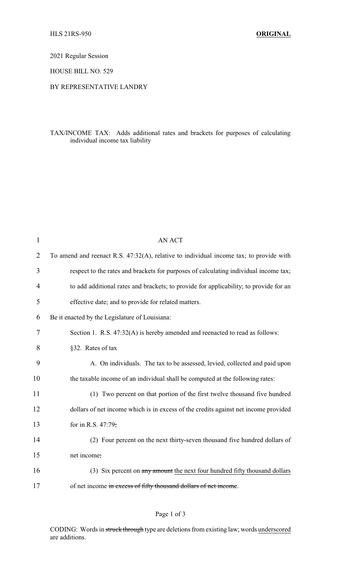2021 Regular Session

HOUSE BILL NO. 529

## BY REPRESENTATIVE LANDRY

## TAX/INCOME TAX: Adds additional rates and brackets for purposes of calculating individual income tax liability

| $\mathbf{1}$   | <b>AN ACT</b>                                                                          |
|----------------|----------------------------------------------------------------------------------------|
| $\overline{2}$ | To amend and reenact R.S. 47:32(A), relative to individual income tax; to provide with |
| 3              | respect to the rates and brackets for purposes of calculating individual income tax;   |
| 4              | to add additional rates and brackets; to provide for applicability; to provide for an  |
| 5              | effective date; and to provide for related matters.                                    |
| 6              | Be it enacted by the Legislature of Louisiana:                                         |
| 7              | Section 1. R.S. 47:32(A) is hereby amended and reenacted to read as follows:           |
| 8              | §32. Rates of tax                                                                      |
| 9              | A. On individuals. The tax to be assessed, levied, collected and paid upon             |
| 10             | the taxable income of an individual shall be computed at the following rates:          |
| 11             | (1) Two percent on that portion of the first twelve thousand five hundred              |
| 12             | dollars of net income which is in excess of the credits against net income provided    |
| 13             | for in R.S. 47:79;                                                                     |
| 14             | (2) Four percent on the next thirty-seven thousand five hundred dollars of             |
| 15             | net income;                                                                            |
| 16             | (3) Six percent on any amount the next four hundred fifty thousand dollars             |
| 17             | of net income in excess of fifty thousand dollars of net income.                       |
|                |                                                                                        |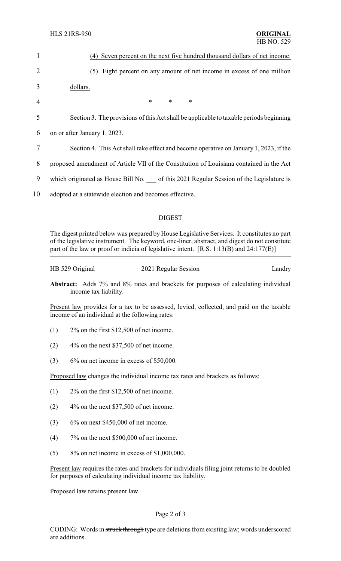| $\mathbf{1}$   | (4) Seven percent on the next five hundred thousand dollars of net income.              |
|----------------|-----------------------------------------------------------------------------------------|
| $\overline{2}$ | Eight percent on any amount of net income in excess of one million<br>(5)               |
| 3              | dollars.                                                                                |
| 4              | $\ast$<br>$\ast$<br>∗                                                                   |
| 5              | Section 3. The provisions of this Act shall be applicable to taxable periods beginning  |
| 6              | on or after January 1, 2023.                                                            |
| 7              | Section 4. This Act shall take effect and become operative on January 1, 2023, if the   |
| 8              | proposed amendment of Article VII of the Constitution of Louisiana contained in the Act |
| 9              | which originated as House Bill No. of this 2021 Regular Session of the Legislature is   |
| 10             | adopted at a statewide election and becomes effective.                                  |
|                |                                                                                         |

## DIGEST

The digest printed below was prepared by House Legislative Services. It constitutes no part of the legislative instrument. The keyword, one-liner, abstract, and digest do not constitute part of the law or proof or indicia of legislative intent. [R.S. 1:13(B) and 24:177(E)]

HB 529 Original 2021 Regular Session Landry

**Abstract:** Adds 7% and 8% rates and brackets for purposes of calculating individual income tax liability.

Present law provides for a tax to be assessed, levied, collected, and paid on the taxable income of an individual at the following rates:

- (1) 2% on the first \$12,500 of net income.
- $(2)$  4% on the next \$37,500 of net income.
- (3)  $6\%$  on net income in excess of \$50,000.

Proposed law changes the individual income tax rates and brackets as follows:

- (1) 2% on the first \$12,500 of net income.
- $(2)$  4% on the next \$37,500 of net income.
- (3)  $6\%$  on next \$450,000 of net income.
- (4) 7% on the next \$500,000 of net income.
- (5) 8% on net income in excess of \$1,000,000.

Present law requires the rates and brackets for individuals filing joint returns to be doubled for purposes of calculating individual income tax liability.

Proposed law retains present law.